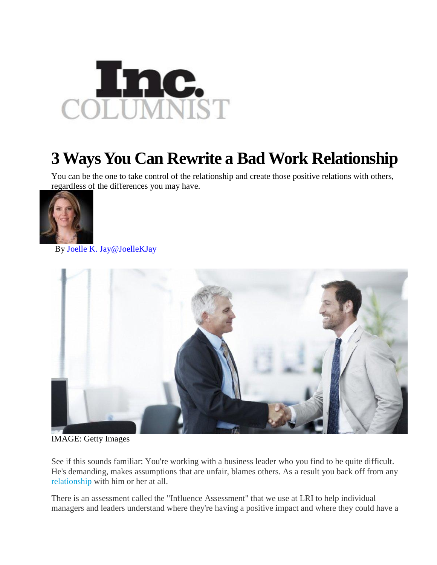

## **3 Ways You Can Rewrite a Bad Work Relationship**

You can be the one to take control of the relationship and create those positive relations with others, regardless of the differences you may have.



By Joelle K. Jay@JoelleKJay



IMAGE: Getty Images

See if this sounds familiar: You're working with a business leader who you find to be quite difficult. He's demanding, makes assumptions that are unfair, blames others. As a result you back off from any relationship with him or her at all.

There is an assessment called the "Influence Assessment" that we use at LRI to help individual managers and leaders understand where they're having a positive impact and where they could have a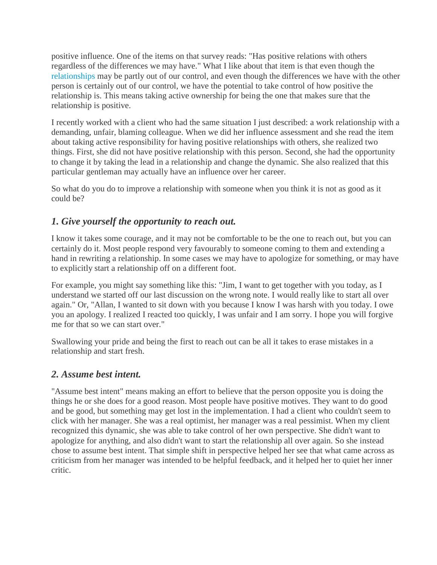positive influence. One of the items on that survey reads: "Has positive relations with others regardless of the differences we may have." What I like about that item is that even though the relationships may be partly out of our control, and even though the differences we have with the other person is certainly out of our control, we have the potential to take control of how positive the relationship is. This means taking active ownership for being the one that makes sure that the relationship is positive.

I recently worked with a client who had the same situation I just described: a work relationship with a demanding, unfair, blaming colleague. When we did her influence assessment and she read the item about taking active responsibility for having positive relationships with others, she realized two things. First, she did not have positive relationship with this person. Second, she had the opportunity to change it by taking the lead in a relationship and change the dynamic. She also realized that this particular gentleman may actually have an influence over her career.

So what do you do to improve a relationship with someone when you think it is not as good as it could be?

## *1. Give yourself the opportunity to reach out.*

I know it takes some courage, and it may not be comfortable to be the one to reach out, but you can certainly do it. Most people respond very favourably to someone coming to them and extending a hand in rewriting a relationship. In some cases we may have to apologize for something, or may have to explicitly start a relationship off on a different foot.

For example, you might say something like this: "Jim, I want to get together with you today, as I understand we started off our last discussion on the wrong note. I would really like to start all over again." Or, "Allan, I wanted to sit down with you because I know I was harsh with you today. I owe you an apology. I realized I reacted too quickly, I was unfair and I am sorry. I hope you will forgive me for that so we can start over."

Swallowing your pride and being the first to reach out can be all it takes to erase mistakes in a relationship and start fresh.

## *2. Assume best intent.*

"Assume best intent" means making an effort to believe that the person opposite you is doing the things he or she does for a good reason. Most people have positive motives. They want to do good and be good, but something may get lost in the implementation. I had a client who couldn't seem to click with her manager. She was a real optimist, her manager was a real pessimist. When my client recognized this dynamic, she was able to take control of her own perspective. She didn't want to apologize for anything, and also didn't want to start the relationship all over again. So she instead chose to assume best intent. That simple shift in perspective helped her see that what came across as criticism from her manager was intended to be helpful feedback, and it helped her to quiet her inner critic.